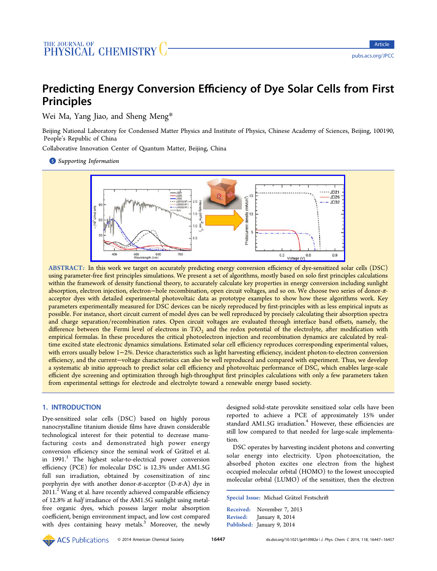# Predicting Energy Conversion Efficiency of Dye Solar Cells from First Principles

Wei Ma, Yang Jiao, and Sheng Meng\*

Beijing National Laboratory for Condensed M[att](#page-9-0)er Physics and Institute of Physics, Chinese Academy of Sciences, Beijing, 100190, People's Republic of China

Collaborative Innovation Center of Quantum Matter, Beijing, China

**S** Supporting Information



ABSTRACT: In this work we target on accurately predicting energy conversion efficiency of dye-sensitized solar cells (DSC) using parameter-free fi[rst principles simulations. We present a set of algorithms, mostly based on solo](http://pubs.acs.org/action/showImage?doi=10.1021/jp410982e&iName=master.img-000.jpg&w=359&h=119) first principles calculations within the framework of density functional theory, to accurately calculate key properties in energy conversion including sunlight absorption, electron injection, electron−hole recombination, open circuit voltages, and so on. We choose two series of donor-πacceptor dyes with detailed experimental photovoltaic data as prototype examples to show how these algorithms work. Key parameters experimentally measured for DSC devices can be nicely reproduced by first-principles with as less empirical inputs as possible. For instance, short circuit current of model dyes can be well reproduced by precisely calculating their absorption spectra and charge separation/recombination rates. Open circuit voltages are evaluated through interface band offsets, namely, the difference between the Fermi level of electrons in  $TiO<sub>2</sub>$  and the redox potential of the electrolyte, after modification with empirical formulas. In these procedures the critical photoelectron injection and recombination dynamics are calculated by realtime excited state electronic dynamics simulations. Estimated solar cell efficiency reproduces corresponding experimental values, with errors usually below 1−2%. Device characteristics such as light harvesting efficiency, incident photon-to-electron conversion efficiency, and the current−voltage characteristics can also be well reproduced and compared with experiment. Thus, we develop a systematic ab initio approach to predict solar cell efficiency and photovoltaic performance of DSC, which enables large-scale efficient dye screening and optimization through high-throughput first principles calculations with only a few parameters taken from experimental settings for electrode and electrolyte toward a renewable energy based society.

## 1. INTRODUCTION

Dye-sensitized solar cells (DSC) based on highly porous nanocrystalline titanium dioxide films have drawn considerable technological interest for their potential to decrease manufacturing costs and demonstrated high power energy conversion efficiency since the seminal work of Gratzel et al. ̈ in 1991.<sup>1</sup> The highest solar-to-electrical power conversion efficiency (PCE) for molecular DSC is 12.3% under AM1.5G full sun irradiation, obtained by cosensitization of zinc porphyrin dye with another donor- $\pi$ -acceptor (D- $\pi$ -A) dye in 2011.<sup>2</sup> Wang et al. have recently achieved comparable efficiency of 12.8% at half irradiance of the AM1.5G sunlight using metalfree [o](#page-9-0)rganic dyes, which possess larger molar absorption coefficient, benign environment impact, and low cost compared with dyes containing heavy metals. $3$  Moreover, the newly designed solid-state perovskite sensitized solar cells have been reported to achieve a PCE of approximately 15% under standard AM1.5G irradiation.<sup>4</sup> However, these efficiencies are still low compared to that needed for large-scale implementation.

DSC operates by harvesting incident photons and converting solar energy into electricity. Upon photoexcitation, the absorbed photon excites one electron from the highest occupied molecular orbital (HOMO) to the lowest unoccupied molecular orbital (LUMO) of the sensitizer, then the electron

Special Issue: Michael Grätzel Festschrift ̈

Received: November 7, 2013 Revised: January 8, 2014 Published: January 9, 2014

**ACS** Publications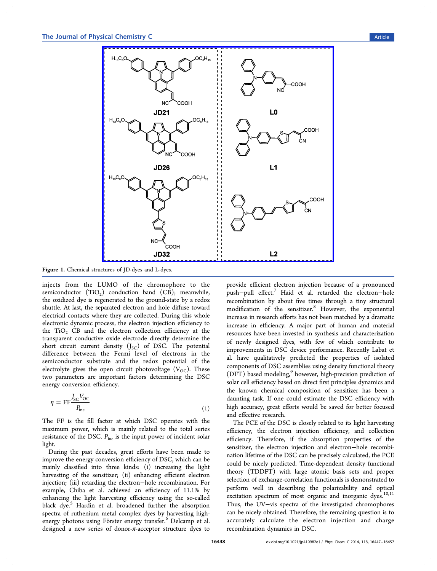<span id="page-1-0"></span>

Figure 1. Chemical struc[tures of JD-dyes and L-dyes.](http://pubs.acs.org/action/showImage?doi=10.1021/jp410982e&iName=master.img-001.png&w=326&h=304)

injects from the LUMO of the chromophore to the semiconductor  $(TiO<sub>2</sub>)$  conduction band  $(CB)$ ; meanwhile, the oxidized dye is regenerated to the ground-state by a redox shuttle. At last, the separated electron and hole diffuse toward electrical contacts where they are collected. During this whole electronic dynamic process, the electron injection efficiency to the  $TiO<sub>2</sub>$  CB and the electron collection efficiency at the transparent conductive oxide electrode directly determine the short circuit current density  $(J_{SC})$  of DSC. The potential difference between the Fermi level of electrons in the semiconductor substrate and the redox potential of the electrolyte gives the open circuit photovoltage  $(V_{OC})$ . These two parameters are important factors determining the DSC energy conversion efficiency.

$$
\eta = \text{FF} \frac{J_{\text{SC}} V_{\text{OC}}}{P_{\text{inc}}} \tag{1}
$$

The FF is the fill factor at which DSC operates with the maximum power, which is mainly related to the total series resistance of the DSC.  $P_{inc}$  is the input power of incident solar light.

During the past decades, great efforts have been made to improve the energy conversion efficiency of DSC, which can be mainly classified into three kinds: (i) increasing the light harvesting of the sensitizer; (ii) enhancing efficient electron injection; (iii) retarding the electron−hole recombination. For example, Chiba et al. achieved an efficiency of 11.1% by enhancing the light harvesting efficiency using the so-called black dye.<sup>5</sup> Hardin et al. broadened further the absorption spectra of ruthenium metal complex dyes by harvesting highenergy ph[ot](#page-9-0)ons using Förster energy transfer.<sup>6</sup> Delcamp et al. designed a new series of donor-π-acceptor structure dyes to

provide efficient electron injection because of a pronounced push−pull effect.7 Haid et al. retarded the electron−hole recombination by about five times through a tiny structural modification of [th](#page-9-0)e sensitizer.<sup>8</sup> However, the exponential increase in research efforts has not been matched by a dramatic increase in efficiency. A major [p](#page-9-0)art of human and material resources have been invested in synthesis and characterization of newly designed dyes, with few of which contribute to improvements in DSC device performance. Recently Labat et al. have qualitatively predicted the properties of isolated components of DSC assemblies using density functional theory (DFT) based modeling,<sup>9</sup> however, high-precision prediction of solar cell efficiency based on direct first principles dynamics and the known chemical [co](#page-9-0)mposition of sensitizer has been a daunting task. If one could estimate the DSC efficiency with high accuracy, great efforts would be saved for better focused and effective research.

The PCE of the DSC is closely related to its light harvesting efficiency, the electron injection efficiency, and collection efficiency. Therefore, if the absorption properties of the sensitizer, the electron injection and electron−hole recombination lifetime of the DSC can be precisely calculated, the PCE could be nicely predicted. Time-dependent density functional theory (TDDFT) with large atomic basis sets and proper selection of exchange-correlation functionals is demonstrated to perform well in describing the polarizability and optical excitation spectrum of most organic and inorganic dyes. $10,11$ Thus, the UV−vis spectra of the investigated chromophores can be nicely obtained. Therefore, the remaining question [is to](#page-9-0) accurately calculate the electron injection and charge recombination dynamics in DSC.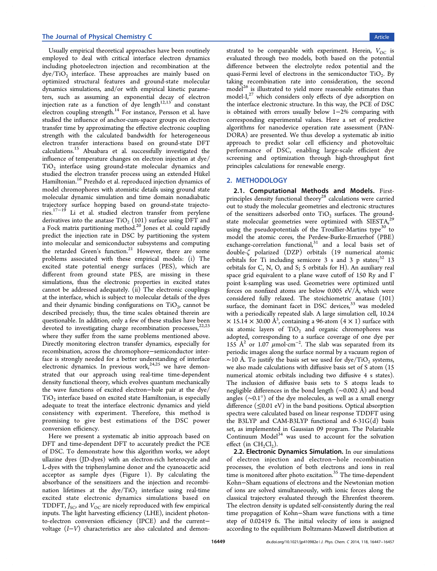Usually empirical theoretical approaches have been routinely employed to deal with critical interface electron dynamics including photoelectron injection and recombination at the  $\text{dye/TiO}_2$  interface. These approaches are mainly based on optimized structural features and ground-state molecular dynamics simulations, and/or with empirical kinetic parameters, such as assuming an exponential decay of electron injection rate as a function of dye length $12,13$  and constant electron coupling strength.<sup>14</sup> For instance, Persson et al. have studied the influence of anchor-cum-spacer [grou](#page-9-0)ps on electron transfer time by approxima[tin](#page-9-0)g the effective electronic coupling strength with the calculated bandwidth for heterogeneous electron transfer interactions based on ground-state DFT calculations.<sup>15</sup> Abuabara et al. successfully investigated the influence of temperature changes on electron injection at dye/  $TiO<sub>2</sub>$  interf[ac](#page-9-0)e using ground-state molecular dynamics and studied the electron transfer process using an extended Hü kel Hamiltonian.<sup>16</sup> Prezhdo et al. reproduced injection dynamics of model chromophores with atomistic details using ground state molecular d[yna](#page-9-0)mic simulation and time domain nonadiabatic trajectory surface hopping based on ground-state trajectories.17−<sup>19</sup> Li et al. studied electron transfer from perylene derivatives into the anatase  $TiO<sub>2</sub>$  (101) surface using DFT and a F[ock m](#page-9-0)atrix partitioning method.<sup>20</sup> Jones et al. could rapidly predict the injection rate in DSC by partitioning the system into molecular and semiconductor [su](#page-9-0)bsystems and computing the retarded Green's function.<sup>21</sup> However, there are some problems associated with these empirical models: (i) The excited state potential energ[y](#page-9-0) surfaces (PES), which are different from ground state PES, are missing in these simulations, thus the electronic properties in excited states cannot be addressed adequately. (ii) The electronic couplings at the interface, which is subject to molecular details of the dyes and their dynamic binding configurations on  $TiO<sub>2</sub>$ , cannot be described precisely; thus, the time scales obtained therein are questionable. In addition, only a few of these studies have been devoted to investigating charge recombination processes,  $22,23$ where they suffer from the same problems mentioned above. Directly monitoring electron transfer dynamics, especiall[y for](#page-9-0) recombination, across the chromophore−semiconductor interface is strongly needed for a better understanding of interface electronic dynamics. In previous work,  $24.25$  we have demonstrated that our approach using real-time time-dependent density functional theory, which evolves [quan](#page-9-0)tum mechanically the wave functions of excited electron−hole pair at the dye/ TiO<sub>2</sub> interface based on excited state Hamiltonian, is especially adequate to treat the interface electronic dynamics and yield consistency with experiment. Therefore, this method is promising to give best estimations of the DSC power conversion efficiency.

Here we present a systematic ab initio approach based on DFT and time-dependent DFT to accurately predict the PCE of DSC. To demonstrate how this algorithm works, we adopt ullazine dyes (JD-dyes) with an electron-rich heterocycle and L-dyes with the triphenylamine donor and the cyanoacetic acid acceptor as sample dyes (Figure 1). By calculating the absorbance of the sensitizers and the injection and recombination lifetimes at the  $\text{dye}/\text{TiO}_2$  i[nt](#page-1-0)erface using real-time excited state electronic dynamics simulations based on TDDFT,  $J_{SC}$ , and  $V_{OC}$  are nicely reproduced with few empirical inputs. The light harvesting efficiency (LHE), incident photonto-electron conversion efficiency (IPCE) and the current− voltage (I−V) characteristics are also calculated and demonstrated to be comparable with experiment. Herein,  $V_{OC}$  is evaluated through two models, both based on the potential difference between the electrolyte redox potential and the quasi-Fermi level of electrons in the semiconductor  $TiO<sub>2</sub>$ . By taking recombination rate into consideration, the second  $\text{model}^{26}$  is illustrated to yield more reasonable estimates than model- $I_1^{27}$  which considers only effects of dye adsorption on the in[ter](#page-9-0)face electronic structure. In this way, the PCE of DSC is obtai[ned](#page-9-0) with errors usually below 1−2% comparing with corresponding experimental values. Here a set of predictive algorithms for nanodevice operation rate assessment (PAN-DORA) are presented. We thus develop a systematic ab initio approach to predict solar cell efficiency and photovoltaic performance of DSC, enabling large-scale efficient dye screening and optimization through high-throughput first principles calculations for renewable energy.

#### 2. METHODOLOGY

2.1. Computational Methods and Models. Firstprinciples density functional theory<sup>28</sup> calculations were carried out to study the molecular geometries and electronic structures of the sensitizers adsorbed onto  $TiO<sub>2</sub>$  $TiO<sub>2</sub>$  surfaces. The groundstate molecular geometries were optimized with SIESTA, $^{29}$ using the pseudopotentials of the Troullier-Martins type<sup>30</sup> to model the atomic cores, the Perdew-Burke-Ernzerhof (PB[E\)](#page-9-0) exchange-correlation functional, $31$  and a local basis s[et](#page-9-0) of double-ζ polarized (DZP) orbitals (19 numerical atomic orbitals for Ti including semic[ore](#page-9-0) 3 s and 3 p states; $32$  13 orbitals for C, N, O, and S; 5 orbitals for H). An auxiliary real space grid equivalent to a plane wave cutoff of 150 Ry [an](#page-9-0)d Γ point k-sampling was used. Geometries were optimized until forces on nonfixed atoms are below 0.005 eV/Å, which were considered fully relaxed. The stoichiometric anatase (101) surface, the dominant facet in DSC devices,<sup>33</sup> was modeled with a periodically repeated slab. A large simulation cell, 10.24  $\times$  15.14  $\times$  30.00 Å<sup>3</sup>, containing a 96-atom (4  $\times$  1) surface with six atomic layers of  $TiO<sub>2</sub>$  and organic chromophores was adopted, corresponding to a surface coverage of one dye per 155 Å<sup>2</sup> or 1.07  $\mu$ mol·cm<sup>-2</sup>. The slab was separated from its periodic images along the surface normal by a vacuum region of ~10 [Å.](#page-9-0) To justify the basis set we used for dye/TiO<sub>2</sub> systems, we also made calculations with diffusive basis set of S atom (15 numerical atomic orbitals including two diffusive 4 s states). The inclusion of diffusive basis sets to S atoms leads to negligible differences in the bond length (∼0.002 Ǻ ) and bond angles (∼0.1°) of the dye molecules, as well as a small energy difference  $(\leq 0.01 \text{ eV})$  in the band positions. Optical absorption spectra were calculated based on linear response TDDFT using the B3LYP and CAM-B3LYP functional and  $6-31G(d)$  basis set, as implemented in Gaussian 09 program. The Polarizable Continuum Model $34$  was used to account for the solvation effect (in  $CH_2Cl_2$ ).

2.2. Electronic [Dy](#page-9-0)namics Simulation. In our simulations of electron injection and electron−hole recombination processes, the evolution of both electrons and ions in real time is monitored after photo excitation.<sup>35</sup> The time-dependent Kohn−Sham equations of electrons and the Newtonian motion of ions are solved simultaneously, with [io](#page-10-0)nic forces along the classical trajectory evaluated through the Ehrenfest theorem. The electron density is updated self-consistently during the real time propagation of Kohn−Sham wave functions with a time step of 0.02419 fs. The initial velocity of ions is assigned according to the equilibrium Boltzmann-Maxwell distribution at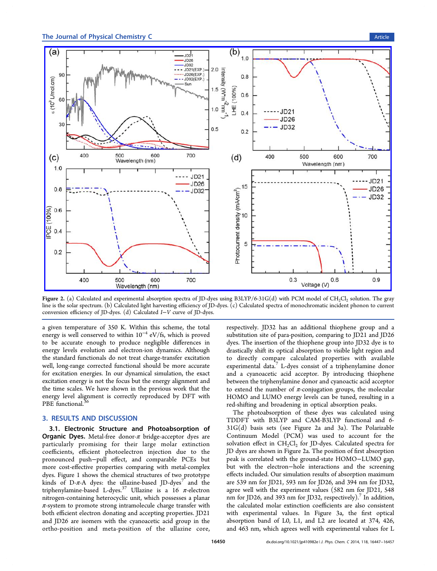<span id="page-3-0"></span>

Figure 2. (a) Calculated and experimental absorption spectra of JD-dyes using B3LYP/6-31G(d) with PCM model of CH<sub>2</sub>Cl<sub>2</sub> solution. The gray line is the solar spectrum. (b) Calculated light harvesting efficiency of JD-dyes. (c) Calculated spectra of monochromatic incident phonon to current conversion efficiency of JD-dyes. (d) Calculated I−V curve of JD-dyes.

a given temperature of 350 K. Within this scheme, the total energy is well conserved to within  $10^{-4}$  eV/fs, which is proved to be accurate enough to produce negligible differences in energy levels evolution and electron-ion dynamics. Although the standard functionals do not treat charge-transfer excitation well, long-range corrected functional should be more accurate for excitation energies. In our dynamical simulation, the exact excitation energy is not the focus but the energy alignment and the time scales. We have shown in the previous work that the energy level alignment is correctly reproduced by DFT with PBE functional.<sup>36</sup>

#### 3. RESULTS [AN](#page-10-0)D DISCUSSION

3.1. Electronic Structure and Photoabsorption of **Organic Dyes.** Metal-free donor- $\pi$  bridge-acceptor dyes are particularly promising for their large molar extinction coefficients, efficient photoelectron injection due to the pronounced push−pull effect, and comparable PCEs but more cost-effective properties comparing with metal-complex dyes. Figure 1 shows the chemical structures of two prototype kinds of D- $\pi$ -A dyes: the ullazine-based JD-dyes<sup>7</sup> and the triphenylami[ne](#page-1-0)-based L-dyes.<sup>37</sup> Ullazine is a 16  $\pi$ -electron nitrogen-containing heterocyclic unit, which possess[e](#page-9-0)s a planar  $\pi$ -system to promote strong i[ntr](#page-10-0)amolecule charge transfer with both efficient electron donating and accepting properties. JD21 and JD26 are isomers with the cyanoacetic acid group in the ortho-position and meta-position of the ullazine core,

respectively. JD32 has an additional thiophene group and a substitution site of para-position, comparing to JD21 and JD26 dyes. The insertion of the thiophene group into JD32 dye is to drastically shift its optical absorption to visible light region and to directly compare calculated properties with available experimental data.<sup>7</sup> L-dyes consist of a triphenylamine donor and a cyanoacetic acid acceptor. By introducing thiophene between the triph[en](#page-9-0)ylamine donor and cyanoactic acid acceptor to extend the number of  $\pi$ -conjugation groups, the molecular HOMO and LUMO energy levels can be tuned, resulting in a red-shifting and broadening in optical absorption peaks.

The photoabsorption of these dyes was calculated using TDDFT with B3LYP and CAM-B3LYP functional and 6- 31G(d) basis sets (see Figure 2a and 3a). The Polarizable Continuum Model (PCM) was used to account for the solvation effect in  $CH_2Cl_2$  for JD-dyes. [Ca](#page-4-0)lculated spectra for JD dyes are shown in Figure 2a. The position of first absorption peak is correlated with the ground-state HOMO−LUMO gap, but with the electron−hole interactions and the screening effects included. Our simulation results of absorption maximum are 539 nm for JD21, 593 nm for JD26, and 394 nm for JD32, agree well with the experiment values (582 nm for JD21, 548 nm for JD26, and 393 nm for JD32, respectively).<sup>7</sup> In addition, the calculated molar extinction coefficients are also consistent with experimental values. In Figure 3a, the [fi](#page-9-0)rst optical absorption band of L0, L1, and L2 are located at 374, 426, and 463 nm, which agrees well with exp[er](#page-4-0)imental values for L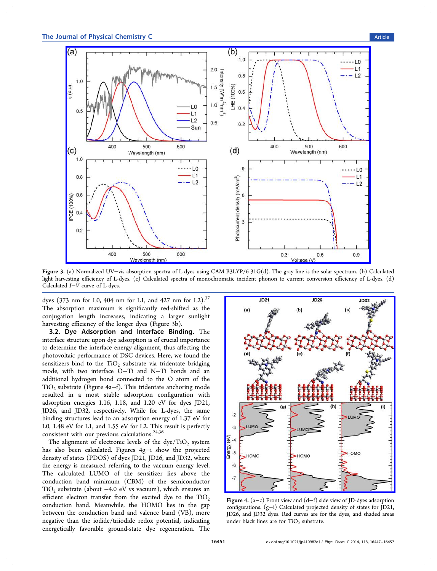<span id="page-4-0"></span>

Figure 3. (a) Normalized UV−[vis absorption spectra of L-dyes using CAM-B3LYP/6-31G\(d\). The gray line is the solar spectrum. \(b\)](http://pubs.acs.org/action/showImage?doi=10.1021/jp410982e&iName=master.img-003.jpg&w=431&h=306) Calculated light harvesting efficiency of L-dyes. (c) Calculated spectra of monochromatic incident phonon to current conversion efficiency of L-dyes. (d) Calculated I−V curve of L-dyes.

dyes (373 nm for L0, 404 nm for L1, and 427 nm for L2).<sup>37</sup> The absorption maximum is significantly red-shifted as the conjugation length increases, indicating a larger sunlig[ht](#page-10-0) harvesting efficiency of the longer dyes (Figure 3b).

3.2. Dye Adsorption and Interface Binding. The interface structure upon dye adsorption is of crucial importance to determine the interface energy alignment, thus affecting the photovoltaic performance of DSC devices. Here, we found the sensitizers bind to the  $TiO<sub>2</sub>$  substrate via tridentate bridging mode, with two interface O−Ti and N−Ti bonds and an additional hydrogen bond connected to the O atom of the TiO2 substrate (Figure 4a−f). This tridentate anchoring mode resulted in a most stable adsorption configuration with adsorption energies 1.16, 1.18, and 1.20 eV for dyes JD21, JD26, and JD32, respectively. While for L-dyes, the same binding structures lead to an adsorption energy of 1.37 eV for L0, 1.48 eV for L1, and 1.55 eV for L2. This result is perfectly consistent with our previous calculations.24,36

The alignment of electronic levels of the  $\text{dye}/\text{TiO}_2$  system has also been calculated. Figures 4g−i [s](#page-9-0)[ho](#page-10-0)w the projected density of states (PDOS) of dyes JD21, JD26, and JD32, where the energy is measured referring to the vacuum energy level. The calculated LUMO of the sensitizer lies above the conduction band minimum (CBM) of the semiconductor TiO<sub>2</sub> substrate (about  $-4.0$  eV vs vacuum), which ensures an efficient electron transfer from the excited dye to the  $TiO<sub>2</sub>$ conduction band. Meanwhile, the HOMO lies in the gap between the conduction band and valence band (VB), more negative than the iodide/triiodide redox potential, indicating energetically favorable ground-state dye regeneration. The



Figure 4. (a−c) Front view and (d−f) side view of JD-dyes adsorption configurations. (g−[i\) Calculated projected density of states for JD21,](http://pubs.acs.org/action/showImage?doi=10.1021/jp410982e&iName=master.img-004.jpg&w=239&h=276) JD26, and JD32 dyes. Red curves are for the dyes, and shaded areas under black lines are for  $TiO<sub>2</sub>$  substrate.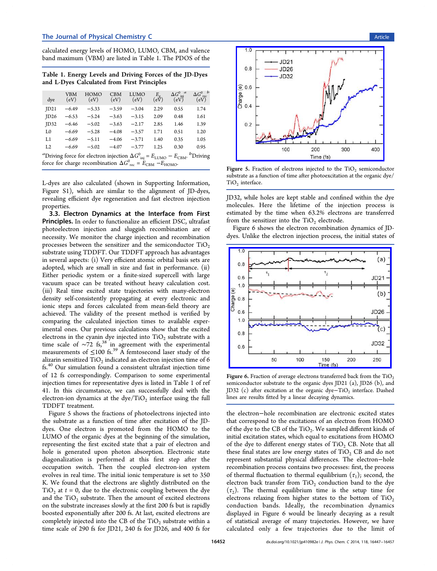<span id="page-5-0"></span>calculated energy levels of HOMO, LUMO, CBM, and valence band maximum (VBM) are listed in Table 1. The PDOS of the

Table 1. Energy Levels and Driving Forces of the JD-Dyes and L-Dyes Calculated from First Principles

| dye                                                                                                           | VBM<br>(eV) | HOMO<br>(eV) | <b>CBM</b><br>(eV) | LUMO<br>(eV) | $\epsilon_{\rm (eV)}^{E_{\rm g}}$ | $\Delta G^0_{\text{ inj}}{}^a$<br>(eV) | $\Delta G^0_{\  \, \mathrm{rec}}^{\;\;b}$<br>(eV) |  |  |  |
|---------------------------------------------------------------------------------------------------------------|-------------|--------------|--------------------|--------------|-----------------------------------|----------------------------------------|---------------------------------------------------|--|--|--|
| ID21                                                                                                          | $-6.49$     | $-5.33$      | $-3.59$            | $-3.04$      | 2.29                              | 0.55                                   | 1.74                                              |  |  |  |
| ID26                                                                                                          | $-6.53$     | $-5.24$      | $-3.63$            | $-3.15$      | 2.09                              | 0.48                                   | 1.61                                              |  |  |  |
| ID32                                                                                                          | $-6.46$     | $-5.02$      | $-3.63$            | $-2.17$      | 2.85                              | 1.46                                   | 1.39                                              |  |  |  |
| L <sub>0</sub>                                                                                                | $-6.69$     | $-5.28$      | $-4.08$            | $-3.57$      | 1.71                              | 0.51                                   | 1.20                                              |  |  |  |
| L1                                                                                                            | $-6.69$     | $-5.11$      | $-4.06$            | $-3.71$      | 1.40                              | 0.35                                   | 1.05                                              |  |  |  |
| L2                                                                                                            | $-6.69$     | $-5.02$      | $-4.07$            | $-3.77$      | 1.25                              | 0.30                                   | 0.95                                              |  |  |  |
| "Driving force for electron injection $\Delta G^0_{\text{inj}} = E_{\text{LUMO}} - E_{\text{CBM}}$ . "Driving |             |              |                    |              |                                   |                                        |                                                   |  |  |  |
| force for charge recombination $\Delta G_{\text{rec}}^0 = E_{\text{CBM}} - E_{\text{HOMO}}$ .                 |             |              |                    |              |                                   |                                        |                                                   |  |  |  |

L-dyes are also calculated (shown in Supporting Information, Figure S1), which are similar to the alignment of JD-dyes, revealing efficient dye regeneration a[nd fast electron injection](#page-8-0) properties.

3.3. Electron Dynamics at the Interface from First Principles. In order to functionalize an efficient DSC, ultrafast photoelectron injection and sluggish recombination are of necessity. We monitor the charge injection and recombination processes between the sensitizer and the semiconductor  $TiO<sub>2</sub>$ substrate using TDDFT. Our TDDFT approach has advantages in several aspects: (i) Very efficient atomic orbital basis sets are adopted, which are small in size and fast in performance. (ii) Either periodic system or a finite-sized supercell with large vacuum space can be treated without heavy calculation cost. (iii) Real time excited state trajectories with many-electron density self-consistently propagating at every electronic and ionic steps and forces calculated from mean-field theory are achieved. The validity of the present method is verified by comparing the calculated injection times to available experimental ones. Our previous calculations show that the excited electrons in the cyanin dye injected into  $TiO<sub>2</sub>$  substrate with a time scale of  $~\sim 72$  fs,<sup>38</sup> in agreement with the experimental measurements of  $\leq 100$  fs.<sup>39</sup> A femtosecond laser study of the alizar[in](#page-10-0) sensitized  $TiO<sub>2</sub>$  indicated an electron injection time of 6 fs.40 Our simulation foun[d a](#page-10-0) consistent ultrafast injection time of 12 fs correspondingly. Comparison to some experimental in[jec](#page-10-0)tion times for representative dyes is listed in Table 1 of ref 41. In this circumstance, we can successfully deal with the electron-ion dynamics at the dye/ $TiO<sub>2</sub>$  interface using the full [TD](#page-10-0)DFT treatment.

Figure 5 shows the fractions of photoelectrons injected into the substrate as a function of time after excitation of the JDdyes. One electron is promoted from the HOMO to the LUMO of the organic dyes at the beginning of the simulation, representing the first excited state that a pair of electron and hole is generated upon photon absorption. Electronic state diagonalization is performed at this first step after the occupation switch. Then the coupled electron-ion system evolves in real time. The initial ionic temperature is set to 350 K. We found that the electrons are slightly distributed on the  $TiO<sub>2</sub>$  at  $t = 0$ , due to the electronic coupling between the dye and the  $TiO<sub>2</sub>$  substrate. Then the amount of excited electrons on the substrate increases slowly at the first 200 fs but is rapidly boosted exponentially after 200 fs. At last, excited electrons are completely injected into the CB of the  $TiO<sub>2</sub>$  substrate within a time scale of 290 fs for JD21, 240 fs for JD26, and 400 fs for



Figure 5. Fraction of electrons injected to the TiO<sub>2</sub> semiconductor subs[trate as a function of time after photoexcitation at the organic](http://pubs.acs.org/action/showImage?doi=10.1021/jp410982e&iName=master.img-005.jpg&w=207&h=159) dye/  $TiO<sub>2</sub>$  interface.

JD32, while holes are kept stable and confined within the dye molecules. Here the lifetime of the injection process is estimated by the time when 63.2% electrons are transferred from the sensitizer into the  $TiO<sub>2</sub>$  electrode.

Figure 6 shows the electron recombination dynamics of JDdyes. Unlike the electron injection process, the initial states of



Figure 6. Fraction of average electrons transferred back from the  $TiO<sub>2</sub>$ semiconductor substrate to the organic dyes JD21 (a), JD26 (b), and JD32 (c) after excitation at the organic dye-TiO<sub>2</sub> interface. Dashed lines are results fitted by a linear decaying dynamics.

the electron−hole recombination are electronic excited states that correspond to the excitations of an electron from HOMO of the dye to the CB of the  $TiO<sub>2</sub>$ . We sampled different kinds of initial excitation states, which equal to excitations from HOMO of the dye to different energy states of  $TiO<sub>2</sub>$  CB. Note that all these final states are low energy states of  $TiO<sub>2</sub>$  CB and do not represent substantial physical differences. The electron−hole recombination process contains two processes: first, the process of thermal fluctuation to thermal equilibrium  $(\tau_1)$ ; second, the electron back transfer from  $TiO<sub>2</sub>$  conduction band to the dye  $(\tau_2)$ . The thermal equilibrium time is the setup time for electrons relaxing from higher states to the bottom of  $TiO<sub>2</sub>$ conduction bands. Ideally, the recombination dynamics displayed in Figure 6 would be linearly decaying as a result of statistical average of many trajectories. However, we have calculated only a few trajectories due to the limit of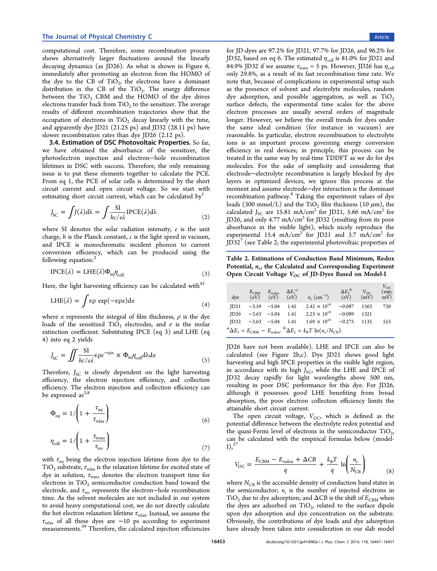<span id="page-6-0"></span>computational cost. Therefore, some recombination process shows alternatively larger fluctuations around the linearly decaying dynamics (as JD26). As what is shown in Figure 6, immediately after promoting an electron from the HOMO of the dye to the CB of  $TiO<sub>2</sub>$ , the electrons have a domina[nt](#page-5-0) distribution in the CB of the  $TiO<sub>2</sub>$ . The energy difference between the  $TiO<sub>2</sub>$  CBM and the HOMO of the dye drives electrons transfer back from  $TiO<sub>2</sub>$  to the sensitizer. The average results of different recombination trajectories show that the occupation of electrons in  $TiO<sub>2</sub>$  decay linearly with the time, and apparently dye JD21 (21.25 ps) and JD32 (28.11 ps) have slower recombination rates than dye JD26 (2.12 ps).

3.4. Estimation of DSC Photovoltaic Properties. So far, we have obtained the absorbance of the sensitizer, the photoelectron injection and electron−hole recombination lifetimes in DSC with success. Therefore, the only remaining issue is to put these elements together to calculate the PCE. From eq 1, the PCE of solar cells is determined by the short circuit current and open circuit voltage. So we start with estimatin[g](#page-1-0) short circuit current, which can be calculated by

$$
J_{\rm SC} = \int J(\lambda) d\lambda = \int \frac{\text{SI}}{hc/e\lambda} \text{IPCE}(\lambda) d\lambda \tag{2}
$$

where SI denotes the solar radiation intensity, e is the unit charge,  $h$  is the Planck constant,  $c$  is the light speed in vacuum, and IPCE is monochromatic incident phonon to current conversion efficiency, which can be produced using the following equation:<sup>2</sup>

$$
I PCE(\lambda) = LHE(\lambda)\Phi_{\text{inj}}\eta_{\text{coll}}\tag{3}
$$

Here, the light harvesting efficiency can be calculated with $42$ 

$$
LHE(\lambda) = \int \varepsilon \rho \exp(-\varepsilon \rho x) dx \tag{4}
$$

where x represents the integral of film thickness,  $\rho$  is the dye loads of the sensitized TiO<sub>2</sub> electrodes, and  $\varepsilon$  is the molar extinction coefficient. Substituting IPCE (eq 3) and LHE (eq 4) into eq 2 yields

$$
J_{\rm SC} = \iint \frac{SI}{hc/e\lambda} \varepsilon \rho e^{-\varepsilon \rho x} \times \Phi_{\rm inj} \eta_{\rm coll} d\lambda dx \tag{5}
$$

Therefore,  $J_{SC}$  is closely dependent on the light harvesting efficiency, the electron injection efficiency, and collection efficiency. The electron injection and collection efficiency can be expressed as $^{2,8}$ 

$$
\Phi_{\rm inj} = 1/\left(1 + \frac{\tau_{\rm inj}}{\tau_{\rm relax}}\right) \tag{6}
$$

$$
\eta_{\text{coll}} = 1/\left(1 + \frac{\tau_{\text{trans}}}{\tau_{\text{rec}}}\right) \tag{7}
$$

with  $\tau_{\text{ini}}$  being the electron injection lifetime from dye to the  $TiO<sub>2</sub>$  substrate,  $\tau_{relax}$  is the relaxation lifetime for excited state of dye in solution,  $\tau_{\text{trans}}$  denotes the electron transport time for electrons in  $TiO<sub>2</sub>$  semiconductor conduction band toward the electrode, and  $\tau_{\text{rec}}$  represents the electron–hole recombination time. As the solvent molecules are not included in our system to avoid heavy computational cost, we do not directly calculate the hot electron relaxation lifetime  $\tau_{\text{relax}}$ . Instead, we assume the  $\tau_{\text{relax}}$  of all these dyes are ∼10 ps according to experiment measurements.<sup>39</sup> Therefore, the calculated injection efficiencies

for JD-dyes are 97.2% for JD21, 97.7% for JD26, and 96.2% for JD32, based on eq 6. The estimated  $\eta_{coll}$  is 81.0% for JD21 and 84.9% JD32 if we assume  $\tau_{trans} = 5$  ps. However, JD26 has  $\eta_{coll}$ only 29.8%, as a result of its fast recombination time rate. We note that, because of complications in experimental setup such as the presence of solvent and electrolyte molecules, random dye adsorption, and possible aggregation, as well as  $TiO<sub>2</sub>$ surface defects, the experimental time scales for the above electron processes are usually several orders of magnitude longer. However, we believe the overall trends for dyes under the same ideal condition (for instance in vacuum) are reasonable. In particular, electron recombination to electrolyte ions is an important process governing energy conversion efficiency in real devices; in principle, this process can be treated in the same way by real-time TDDFT as we do for dye molecules. For the sake of simplicity and considering that electrode−electrolyte recombination is largely blocked by dye layers in optimized devices, we ignore this process at the moment and assume electrode−dye interaction is the dominant recombination pathway.<sup>8</sup> Taking the experiment values of dye loads (300 mmol/L) and the TiO<sub>2</sub> film thickness (10  $\mu$ m), the calculated  $J_{SC}$  are [1](#page-9-0)5.81 mA/cm<sup>2</sup> for JD21, 5.66 mA/cm<sup>2</sup> for JD26, and only 4.77 mA/cm<sup>2</sup> for JD32 (resulting from its poor absorbance in the visible light), which nicely reproduce the experimental 15.4 mA/cm<sup>2</sup> for JD21 and 3.7 mA/cm<sup>2</sup> for  $JD32'$  (see Table 2; the experimental photovoltaic properties of

Tabl[e](#page-9-0) 2. Estimations of Conduction Band Minimum, Redox Potential,  $n_c$ , the Calculated and Corresponding Experiment Open Circuit Voltage  $V_{OC}$  of JD-Dyes Based on Model-I

| dve                                                                                                          |                      | $E_{\text{CBM}}$ $E_{\text{redox}}$ $\Delta E_1^a$<br>$(eV)$ $(eV)$ $(eV)$ |      | $n_c$ (cm <sup>-3</sup> ) | $\Delta E_2^{\phantom{2}b}$<br>$(e\overline{V})$ | $\frac{V_{\rm OC}}{(\rm mV)}$ | $V_{\rm OC}$<br>$\left( \exp\right)$<br>$m\overline{V}$ |  |  |
|--------------------------------------------------------------------------------------------------------------|----------------------|----------------------------------------------------------------------------|------|---------------------------|--------------------------------------------------|-------------------------------|---------------------------------------------------------|--|--|
| ID21                                                                                                         | $-3.59 - 5.04$       |                                                                            | 1.45 | $2.42 \times 10^{19}$     | $-0.087$                                         | 1363                          | 730                                                     |  |  |
| ID26                                                                                                         |                      | $-3.63 -5.04$                                                              | 1.41 | $2.23 \times 10^{19}$     | $-0.089$                                         | 1321                          |                                                         |  |  |
| ID32                                                                                                         | $-3.63$ $-5.04$ 1.41 |                                                                            |      | $1.69 \times 10^{16}$     | $-0.275$                                         | 1135                          | 553                                                     |  |  |
| ${}^{a}\Delta E_1 = E_{\text{CBM}} - E_{\text{redox}}$ , ${}^{b}\Delta E_1 = k_B T \ln(n_c/N_{\text{CB}})$ . |                      |                                                                            |      |                           |                                                  |                               |                                                         |  |  |

JD26 have not been available). LHE and IPCE can also be calculated (see Figure 2b,c). Dye JD21 shows good light harvesting and high IPCE properties in the visible light region, in accordance with its [hig](#page-3-0)h  $J_{SC}$ , while the LHE and IPCE of JD32 decay rapidly for light wavelengths above 500 nm, resulting in poor DSC performance for this dye. For JD26, although it possesses good LHE benefiting from broad absorption, the poor electron collection efficiency limits the attainable short circuit current.

The open circuit voltage,  $V_{OC}$ , which is defined as the potential difference between the electrolyte redox potential and the quasi-Fermi level of electrons in the semiconductor  $TiO<sub>2</sub>$ , can be calculated with the empirical formulas below (model- $I)$ ,  $^{27}$ 

$$
V_{\text{OC}} = \frac{E_{\text{CBM}} - E_{\text{redox}} + \Delta CB}{q} + \frac{k_{\text{B}}T}{q} \ln \left( \frac{n_{\text{c}}}{N_{\text{CB}}} \right) \tag{8}
$$

where  $N_{\text{CB}}$  is the accessible density of conduction band states in the semiconductor;  $n_c$  is the number of injected electrons in TiO<sub>2</sub> due to dye adsorption; and  $\Delta$ CB is the shift of  $E_\mathrm{CBM}$  when the dyes are adsorbed on  $TiO<sub>2</sub>$ , related to the surface dipole upon dye adsorption and dye concentration on the substrate. Obviously, the contributions of dye loads and dye adsorption have already been taken into consideration in our slab model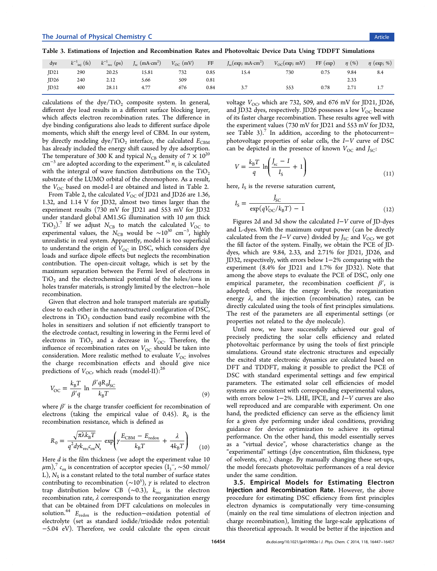| dye  | $k^{-1}$ <sub>inj</sub> (fs) | $k^{-1}$ <sub>rec</sub> (ps) | $J_{\rm sc}$ (mA·cm <sup>2</sup> ) | $V_{\text{OC}}$ (mV) | FF   | $J_{\rm sc}$ (exp; mA·cm <sup>2</sup> ) | $V_{\rm OC}$ (exp; mV) | FF(exp) | $\eta$ (%) | $\eta$ (exp; %) |
|------|------------------------------|------------------------------|------------------------------------|----------------------|------|-----------------------------------------|------------------------|---------|------------|-----------------|
| ID21 | 290                          | 20.25                        | 15.81                              | 732                  | 0.85 | 15.4                                    | 730                    | 0.75    | 9.84       | 8.4             |
| ID26 | 240                          | 2.12                         | 5.66                               | 509                  | 0.81 |                                         |                        |         | 2.33       |                 |
| ID32 | 400                          | 28.11                        | 4.77                               | 676                  | 0.84 | $\cdot$ .                               | $- - -$<br>553         | 0.78    | 2.71       | 1.7             |

calculations of the dye/TiO<sub>2</sub> composite system. In general, different dye load results in a different surface blocking layer, which affects electron recombination rates. The difference in dye binding configurations also leads to different surface dipole moments, which shift the energy level of CBM. In our system, by directly modeling dye/TiO<sub>2</sub> interface, the calculated  $E_{\text{CBM}}$ has already included the energy shift caused by dye adsorption. The temperature of 300 K and typical  $N_{CB}$  density of  $7 \times 10^{20}$ cm<sup>-3</sup> are adopted according to the experiment.<sup>43</sup>  $n_c$  is calculated with the intergral of wave function distributions on the  $TiO<sub>2</sub>$ substrate of the LUMO orbital of the chromo[pho](#page-10-0)re. As a result, the  $V_{\text{OC}}$  based on model-I are obtained and listed in Table 2.

From Table 2, the calculated  $V_{OC}$  of JD21 and JD26 are 1.36, 1.32, and 1.14 V for JD32, almost two times larger than t[he](#page-6-0) experiment re[su](#page-6-0)lts (730 mV for JD21 and 553 mV for JD32 under standard global AM1.5G illumination with 10  $\mu$ m thick  $TiO<sub>2</sub>$ ).<sup>7</sup> If we adjust  $N_{CB}$  to match the calculated  $V_{OC}$  to experimental values, the  $N_{\text{CB}}$  would be ~10<sup>30</sup> cm<sup>-3</sup>, highly unreal[is](#page-9-0)tic in real system. Apparently, model-I is too superficial to understand the origin of  $V_{OC}$  in DSC, which considers dye loads and surface dipole effects but neglects the recombination contribution. The open-circuit voltage, which is set by the maximum separation between the Fermi level of electrons in  $TiO<sub>2</sub>$  and the electrochemical potential of the holes/ions in holes transfer materials, is strongly limited by the electron−hole recombination.

Given that electron and hole transport materials are spatially close to each other in the nanostructured configuration of DSC, electrons in  $TiO<sub>2</sub>$  conduction band easily recombine with the holes in sensitizers and solution if not efficiently transport to the electrode contact, resulting in lowering in the Fermi level of electrons in TiO<sub>2</sub> and a decrease in  $V_{OC}$ . Therefore, the influence of recombination rates on  $V_{OC}$  should be taken into consideration. More realistic method to evaluate  $V_{OC}$  involves the charge recombination effects and should give nice predictions of  $V_{\text{OC}}$ , which reads (model-II):<sup>26</sup>

$$
V_{\rm OC} = \frac{k_{\rm B}T}{\beta' q} \ln \frac{\beta' q R_{\rm o} I_{\rm SC}}{k_{\rm B}T}
$$
\n(9)

where  $\beta'$  is the charge transfer coefficient for recombination of electrons (taking the empirical value of 0.45).  $R_0$  is the recombination resistance, which is defined as

$$
R_0 = \frac{\sqrt{\pi \lambda k_B T}}{q^2 d\gamma k_{\text{rec}} c_{\text{ox}} N_s} \exp\left(\gamma \frac{E_{\text{CBM}} - E_{\text{redox}}}{k_B T} + \frac{\lambda}{4k_B T}\right) \tag{10}
$$

Here *d* is the film thickness (we adopt the experiment value 10  $(\mu m)$ ,<sup>7</sup>  $c_{ox}$  is concentration of acceptor species (I<sub>3</sub><sup>-</sup>, ~50 mmol/ L),  $N_S$  is a constant related to the total number of surface states cont[rib](#page-9-0)uting to recombination ( $\sim$ 10<sup>5</sup>),  $\gamma$  is related to electron trap distribution below CB ( $\sim$ 0.3),  $k_{\text{rec}}$  is the electron recombination rate,  $\lambda$  corresponds to the reorganization energy that can be obtained from DFT calculations on molecules in solution.<sup>44</sup>  $E_{\text{redox}}$  is the reduction-oxidation potential of electrolyte (set as standard iodide/triiodide redox potential: −5.04 e[V\)](#page-10-0). Therefore, we could calculate the open circuit voltage  $V_{\text{OC}}$ , which are 732, 509, and 676 mV for JD21, JD26, and JD32 dyes, respectively. JD26 possesses a low  $V_{\text{OC}}$  because of its faster charge recombination. These results agree well with the experiment values (730 mV for JD21 and 553 mV for JD32, see Table 3).<sup>7</sup> In addition, according to the photocurrent− photovoltage properties of solar cells, the I−V curve of DSC can be depict[ed](#page-9-0) in the presence of known  $V_{OC}$  and  $J_{SC}$ :

$$
V = \frac{k_{\rm B}T}{q} \ln \left( \frac{J_{\rm sc} - I}{I_{\rm S}} + 1 \right) \tag{11}
$$

here,  $I_S$  is the reverse saturation current,

$$
I_{\rm S} = \frac{J_{\rm SC}}{\exp(qV_{\rm OC}/k_{\rm B}T) - 1}
$$
(12)

Figures 2d and 3d show the calculated I−V curve of JD-dyes and L-dyes. With the maximum output power (can be directly calculated [fr](#page-3-0)om t[he](#page-4-0)  $I-V$  curve) divided by  $J<sub>SC</sub>$  and  $V<sub>OC</sub>$ , we got the fill factor of the system. Finally, we obtain the PCE of JDdyes, which are 9.84, 2.33, and 2.71% for JD21, JD26, and JD32, respectively, with errors below 1−2% comparing with the experiment (8.4% for JD21 and 1.7% for JD32). Note that among the above steps to evaluate the PCE of DSC, only one empirical parameter, the recombination coefficient  $\beta'$ , is adopted; others, like the energy levels, the reorganization energy  $\lambda$ , and the injection (recombination) rates, can be directly calculated using the tools of first principles simulations. The rest of the parameters are all experimental settings (or properties not related to the dye molecule).

Until now, we have successfully achieved our goal of precisely predicting the solar cells efficiency and related photovoltaic performance by using the tools of first principle simulations. Ground state electronic structures and especially the excited state electronic dynamics are calculated based on DFT and TDDFT, making it possible to predict the PCE of DSC with standard experimental settings and few empirical parameters. The estimated solar cell efficiencies of model systems are consistent with corresponding experimental values, with errors below 1−2%. LHE, IPCE, and I−V curves are also well reproduced and are comparable with experiment. On one hand, the predicted efficiency can serve as the efficiency limit for a given dye performing under ideal conditions, providing guidance for device optimization to achieve its optimal performance. On the other hand, this model essentially serves as a "virtual device", whose characteristics change as the "experimental" settings (dye concentration, film thickness, type of solvents, etc.) change. By manually changing these set-ups, the model forecasts photovoltaic performances of a real device under the same condition.

3.5. Empirical Models for Estimating Electron Injection and Recombination Rate. However, the above procedure for estimating DSC efficiency from first principles electron dynamics is computationally very time-consuming (mainly on the real time simulations of electron injection and charge recombination), limiting the large-scale applications of this theoretical approach. It would be better if the injection and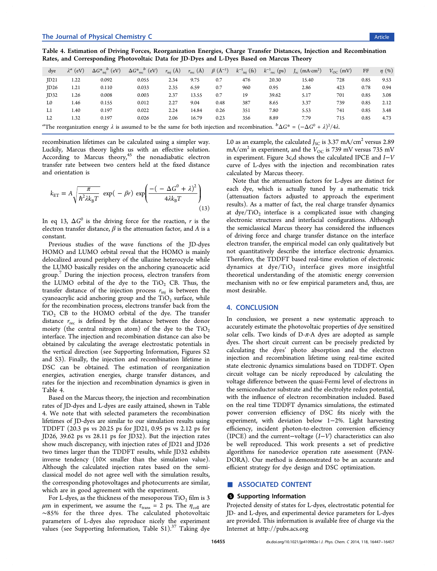<span id="page-8-0"></span>

| dye                                                                                                                                                                      | $\lambda^a$ (eV) | $\Delta G^*_{\text{ini}}^b$ (eV) | $\Delta G^*_{\text{rec}}^b$ (eV) | $r_{\text{inj}}(\text{\AA})$ | $r_{\text{rec}}(\text{Å})$ | $\beta$ (Å <sup>-1</sup> ) | $k^{-1}$ <sub>inj</sub> (fs) | $k^{-1}$ <sub>rec</sub> (ps) | $J_{\rm sc}$ (mA·cm <sup>2</sup> ) | $V_{\text{OC}}$ (mV) | FF   | $\eta$ (%) |
|--------------------------------------------------------------------------------------------------------------------------------------------------------------------------|------------------|----------------------------------|----------------------------------|------------------------------|----------------------------|----------------------------|------------------------------|------------------------------|------------------------------------|----------------------|------|------------|
| ID21                                                                                                                                                                     | 1.22             | 0.092                            | 0.055                            | 2.34                         | 9.75                       | 0.7                        | 476                          | 20.30                        | 15.40                              | 728                  | 0.85 | 9.53       |
| ID26                                                                                                                                                                     | 1.21             | 0.110                            | 0.033                            | 2.35                         | 6.59                       | 0.7                        | 960                          | 0.95                         | 2.86                               | 423                  | 0.78 | 0.94       |
| ID32                                                                                                                                                                     | 1.26             | 0.008                            | 0.003                            | 2.37                         | 13.55                      | 0.7                        | 19                           | 39.62                        | 5.17                               | 701                  | 0.85 | 3.08       |
| L0                                                                                                                                                                       | 1.46             | 0.155                            | 0.012                            | 2.27                         | 9.04                       | 0.48                       | 387                          | 8.65                         | 3.37                               | 739                  | 0.85 | 2.12       |
| L1                                                                                                                                                                       | 1.40             | 0.197                            | 0.022                            | 2.24                         | 14.84                      | 0.26                       | 351                          | 7.80                         | 5.53                               | 741                  | 0.85 | 3.48       |
| L <sub>2</sub>                                                                                                                                                           | 1.32             | 0.197                            | 0.026                            | 2.06                         | 16.79                      | 0.23                       | 356                          | 8.89                         | 7.79                               | 715                  | 0.85 | 4.73       |
| <sup>a</sup> The reorganization energy $\lambda$ is assumed to be the same for both injection and recombination. ${}^b\Delta G^* = (-\Delta G^0 + \lambda)^2/4\lambda$ . |                  |                                  |                                  |                              |                            |                            |                              |                              |                                    |                      |      |            |

recombination lifetimes can be calculated using a simpler way. Luckily, Marcus theory lights us with an effective solution. According to Marcus theory,<sup>45</sup> the nonadiabatic electron transfer rate between two centers held at the fixed distance and orientation is

$$
k_{\text{ET}} = A \sqrt{\frac{\pi}{\hbar^2 \lambda k_{\text{B}} T}} \exp(-\beta r) \exp\left(\frac{-(-\Delta G^0 + \lambda)^2}{4\lambda k_{\text{B}} T}\right) \tag{13}
$$

In eq 13,  $\Delta G^0$  is the driving force for the reaction, r is the electron transfer distance,  $\beta$  is the attenuation factor, and A is a constant.

Previous studies of the wave functions of the JD-dyes HOMO and LUMO orbital reveal that the HOMO is mainly delocalized around periphery of the ullazine heterocycle while the LUMO basically resides on the anchoring cyanoacetic acid group.<sup>7</sup> During the injection process, electron transfers from the LUMO orbital of the dye to the  $TiO<sub>2</sub>$  CB. Thus, the transf[er](#page-9-0) distance of the injection process  $r_{\text{inj}}$  is between the cyanoacrylic acid anchoring group and the  $TiO<sub>2</sub>$  surface, while for the recombination process, electrons transfer back from the TiO2 CB to the HOMO orbital of the dye. The transfer distance  $r_{\text{rec}}$  is defined by the distance between the donor moiety (the central nitrogen atom) of the dye to the  $TiO<sub>2</sub>$ interface. The injection and recombination distance can also be obtained by calculating the average electrostatic potentials in the vertical direction (see Supporting Information, Figures S2 and S3). Finally, the injection and recombination lifetime in DSC can be obtained. The estimation of reorganization energies, activation energies, charge transfer distances, and rates for the injection and recombination dynamics is given in Table 4.

Based on the Marcus theory, the injection and recombination rates of JD-dyes and L-dyes are easily attained, shown in Table 4. We note that with selected parameters the recombination lifetimes of JD-dyes are similar to our simulation results using TDDFT (20.3 ps vs 20.25 ps for JD21, 0.95 ps vs 2.12 ps for JD26, 39.62 ps vs 28.11 ps for JD32). But the injection rates show much discrepancy, with injection rates of JD21 and JD26 two times larger than the TDDFT results, while JD32 exhibits inverse tendency  $(10 \times$  smaller than the simulation value). Although the calculated injection rates based on the semiclassical model do not agree well with the simulation results, the corresponding photovoltages and photocurrents are similar, which are in good agreement with the experiment.

For L-dyes, as the thickness of the mesoporous  $TiO<sub>2</sub>$  film is 3  $\mu$ m in experiment, we assume the  $\tau_{trans} = 2$  ps. The  $\eta_{coll}$  are ∼85% for the three dyes. The calculated photovoltaic parameters of L-dyes also reproduce nicely the experiment values (see Supporting Information, Table S1).<sup>37</sup> Taking dye

L0 as an example, the calculated  $J_{\rm SC}$  is 3.37 mA/cm<sup>2</sup> versus 2.89 mA/cm<sup>2</sup> in experiment, and the  $V_{\text{OC}}$  is 739 mV versus 735 mV in experiment. Figure 3c,d shows the calculated IPCE and I−V curve of L-dyes with the injection and recombination rates calculated by Marcus [th](#page-4-0)eory.

Note that the attenuation factors for L-dyes are distinct for each dye, which is actually tuned by a mathematic trick (attenuation factors adjusted to approach the experiment results). As a matter of fact, the real charge transfer dynamics at  $\text{dye/TiO}_2$  interface is a complicated issue with changing electronic structures and interfacial configurations. Although the semiclassical Marcus theory has considered the influences of driving force and charge transfer distance on the interface electron transfer, the empirical model can only qualitatively but not quantitatively describe the interface electronic dynamics. Therefore, the TDDFT based real-time evolution of electronic dynamics at  $dye/TiO<sub>2</sub>$  interface gives more insightful theoretical understanding of the atomistic energy conversion mechanism with no or few empirical parameters and, thus, are most desirable.

#### 4. CONCLUSION

In conclusion, we present a new systematic approach to accurately estimate the photovoltaic properties of dye sensitized solar cells. Two kinds of  $D-\pi$ -A dyes are adopted as sample dyes. The short circuit current can be precisely predicted by calculating the dyes' photo absorption and the electron injection and recombination lifetime using real-time excited state electronic dynamics simulations based on TDDFT. Open circuit voltage can be nicely reproduced by calculating the voltage difference between the quasi-Fermi level of electrons in the semiconductor substrate and the electrolyte redox potential, with the influence of electron recombination included. Based on the real time TDDFT dynamics simulations, the estimated power conversion efficiency of DSC fits nicely with the experiment, with deviation below 1−2%. Light harvesting efficiency, incident photon-to-electron conversion efficiency (IPCE) and the current–voltage  $(I-V)$  characteristics can also be well reproduced. This work presents a set of predictive algorithms for nanodevice operation rate assessment (PAN-DORA). Our method is demonstrated to be an accurate and efficient strategy for dye design and DSC optimization.

# ■ ASSOCIATED CONTENT

#### S Supporting Information

Projected density of states for L-dyes, electrostatic potential for JD- and L-dyes, and experimental device parameters for L-dyes are provided. This information is available free of charge via the Internet at http://pubs.acs.org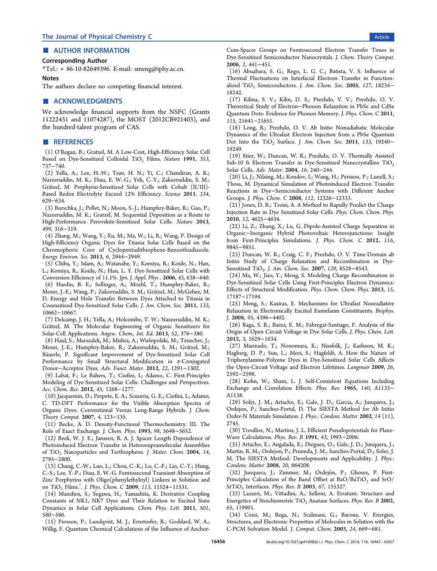# <span id="page-9-0"></span>■ AUTHOR INFORMATION

#### Corresponding Author

\*Tel.: + 86-10-82649396. E-mail: smeng@iphy.ac.cn.

Notes

The authors declare no competing fi[nancial interest.](mailto:smeng@iphy.ac.cn)

#### ■ ACKNOWLEDGMENTS

We acknowledge financial supports from the NSFC (Grants 11222431 and 11074287), the MOST (2012CB921403), and the hundred-talent program of CAS.

#### ■ REFERENCES

(1) O'Regan, B.; Gratzel, M. A Low-Cost, High-Efficiency Solar Cell Based on Dye-Sensitized Colloidal TiO<sub>2</sub> Films. Nature 1991, 353, 737−740.

(2) Yella, A.; Lee, H.-W.; Tsao, H. N.; Yi, C.; Chandiran, A. K.; Nazeeruddin, M. K.; Diau, E. W.-G.; Yeh, C.-Y.; Zakeeruddin, S. M.; Grätzel, M. Porphyrin-Sensitized Solar Cells with Cobalt (II/III)-Based Redox Electrolyte Exceed 12% Efficiency. Science 2011, 334, 629−634.

(3) Burschka, J.; Pellet, N.; Moon, S.-J.; Humphry-Baker, R.; Gao, P.; Nazeeruddin, M. K.; Gratzel, M. Sequential Deposition as a Route to High-Performance Perovskite-Sensitized Solar Cells. Nature 2013, 499, 316−319.

(4) Zhang, M.; Wang, Y.; Xu, M.; Ma, W.; Li, R.; Wang, P. Design of High-Efficiency Organic Dyes for Titania Solar Cells Based on the Chromophoric Core of Cyclopentadithiophene-Benzothiadiazole. Energy Environ. Sci. 2013, 6, 2944−2949.

(5) Chiba, Y.; Islam, A.; Watanabe, Y.; Komiya, R.; Koide, N.; Han, L.; Komiya, R.; Koide, N.; Han, L. Y. Dye-Sensitized Solar Cells with Conversion Efficiency of 11.1%. Jpn. J. Appl. Phys . 2006, 45, 638−640.

(6) Hardin, B. E.; Sellinger, A.; Moehl, T.; Humphry-Baker, R.; Moser, J.-E.; Wang, P.; Zakeeruddin, S. M.; Grätzel, M.; McGehee, M. D. Energy and Hole Transfer Between Dyes Attached to Titania in Cosensitized Dye-Sensitized Solar Cells. J. Am. Chem. Soc. 2011, 133, 10662−10667.

(7) Delcamp, J. H.; Yella, A.; Holcombe, T. W.; Nazeeruddin, M. K.; Grätzel, M. The Molecular Engineering of Organic Sensitizers for Solar-Cell Applications. Angew. Chem., Int. Ed. 2013, 52, 376−380.

(8) Haid, S.; Marszalek, M.; Mishra, A.; Wielopolski, M.; Teuscher, J.; Moser, J.-E.; Humphry-Baker, R.; Zakeeruddin, S. M.; Grätzel, M.; Bäuerle, P. Significant Improvement of Dye-Sensitized Solar Cell Performance by Small Structural Modification in  $\pi$ -Conjugated Donor−Acceptor Dyes. Adv. Funct. Mater. 2012, 22, 1291−1302.

(9) Labat, F.; Le Bahers, T.; Ciofini, I.; Adamo, C. First-Principles Modeling of Dye-Sensitized Solar Cells: Challenges and Perspectives. Acc. Chem. Res. 2012, 45, 1268−1277.

(10) Jacquemin, D.; Perpete, E. A.; Scuseria, G. E.; Ciofini, I.; Adamo, C. TD-DFT Performance for the Visible Absorption Spectra of Organic Dyes: Conventional Versus Long-Range Hybrids. J. Chem. Theory Comput. 2007, 4, 123−135.

(11) Becke, A. D. Density-Functional Thermochemistry. III. The Role of Exact Exchange. J. Chem. Phys. 1993, 98, 5648−5652.

(12) Beek, W. J. E.; Janssen, R. A. J. Spacer Length Dependence of Photoinduced Electron Transfer in Heterosupramolecular Assemblies of TiO<sub>2</sub> Nanoparticles and Terthiophene. J. Mater. Chem. 2004, 14, 2795−2800.

(13) Chang, C.-W.; Luo, L.; Chou, C.-K.; Lo, C.-F.; Lin, C.-Y.; Hung, C.-S.; Lee, Y.-P.; Diau, E. W.-G. Femtosecond Transient Absorption of Zinc Porphyrins with Oligo(phenylethylnyl) Linkers in Solution and on TiO<sub>2</sub> Films.<sup>†</sup>. J. Phys. Chem. C **2009**, 113, 11524−11531.

(14) Manzhos, S.; Segawa, H.; Yamashita, K. Derivative Coupling Constants of NK1, NK7 Dyes and Their Relation to Excited State Dynamics in Solar Cell Applications. Chem. Phys. Lett. 2011, 501, 580−586.

(15) Persson, P.; Lundqvist, M. J.; Ernstorfer, R.; Goddard, W. A.; Willig, F. Quantum Chemical Calculations of the Influence of AnchorCum-Spacer Groups on Femtosecond Electron Transfer Times in Dye-Sensitized Semiconductor Nanocrystals. J. Chem. Theory Comput. 2006, 2, 441−451.

(16) Abuabara, S. G.; Rego, L. G. C.; Batista, V. S. Influence of Thermal Fluctuations on Interfacial Electron Transfer in Functionalized  $TiO<sub>2</sub>$  Semiconductors. J. Am. Chem. Soc. 2005, 127, 18234− 18242.

(17) Kilina, S. V.; Kilin, D. S.; Prezhdo, V. V.; Prezhdo, O. V. Theoretical Study of Electron−Phonon Relaxation in PbSe and CdSe Quantum Dots: Evidence for Phonon Memory. J. Phys. Chem. C 2011, 115, 21641−21651.

(18) Long, R.; Prezhdo, O. V. Ab Initio Nonadiabatic Molecular Dynamics of the Ultrafast Electron Injection from a PbSe Quantum Dot Into the TiO<sub>2</sub> Surface. J. Am. Chem. Soc. 2011, 133, 19240− 19249.

(19) Stier, W.; Duncan, W. R.; Prezhdo, O. V. Thermally Assisted Sub-10 fs Electron Transfer in Dye-Sensitized Nanocrystalline  $TiO<sub>2</sub>$ Solar Cells. Adv. Mater. 2004, 16, 240−244.

(20) Li, J.; Nilsing, M.; Kondov, I.; Wang, H.; Persson, P.; Lunell, S.; Thoss, M. Dynamical Simulation of Photoinduced Electron Transfer Reactions in Dye−Semiconductor Systems with Different Anchor Groups. J. Phys. Chem. C 2008, 112, 12326−12333.

(21) Jones, D. R.; Troisi, A. A Method to Rapidly Predict the Charge Injection Rate in Dye Sensitized Solar Cells. Phys. Chem. Chem. Phys. 2010, 12, 4625−4634.

(22) Li, Z.; Zhang, X.; Lu, G. Dipole-Assisted Charge Separation in Organic−Inorganic Hybrid Photovoltaic Heterojunctions: Insight from First-Principles Simulations. J. Phys. Chem. C 2012, 116, 9845−9851.

(23) Duncan, W. R.; Craig, C. F.; Prezhdo, O. V. Time-Domain ab Initio Study of Charge Relaxation and Recombination in Dye-Sensitized TiO<sub>2</sub>. J. Am. Chem. Soc. 2007, 129, 8528-8543.

(24) Ma, W.; Jiao, Y.; Meng, S. Modeling Charge Recombination in Dye-Sensitized Solar Cells Using First-Principles Electron Dynamics: Effects of Structural Modification. Phys. Chem. Chem. Phys. 2013, 15, 17187−17194.

(25) Meng, S.; Kaxiras, E. Mechanisms for Ultrafast Nonradiative Relaxation in Electronically Excited Eumelanin Constituents. Biophys. J. 2008, 95, 4396−4402.

(26) Raga, S. R.; Barea, E. M.; Fabregat-Santiago, F. Analysis of the Origin of Open Circuit Voltage in Dye Solar Cells. J. Phys. Chem. Lett. 2012, 3, 1629−1634.

(27) Marinado, T.; Nonomura, K.; Nissfolk, J.; Karlsson, M. K.; Hagberg, D. P.; Sun, L.; Mori, S.; Hagfeldt, A. How the Nature of Triphenylamine-Polyene Dyes in Dye-Sensitized Solar Cells Affects the Open-Circuit Voltage and Electron Lifetimes. Langmuir 2009, 26, 2592−2598.

(28) Kohn, W.; Sham, L. J. Self-Consistent Equations Including Exchange and Correlation Effects. Phys. Rev. 1965, 140, A1133− A1138.

(29) Soler, J. M.; Artacho, E.; Gale, J. D.; Garcia, A.; Junquera, J.; Ordejon, P.; Sanchez-Portal, D. The SIESTA Method for Ab Initio Order-N Materials Simulation. J. Phys.: Condens. Matter 2002, 14 (11), 2745.

(30) Troullier, N.; Martins, J. L. Efficient Pseudopotentials for Plane-Wave Calculations. Phys. Rev. B 1991, 43, 1993−2006.

(31) Artacho, E.; Angalada, E.; Dieguez, O.; Gale, J. D.; Junquera, J.; Martin, R. M.; Ordejon, P.; Pruneda, J. M.; Sanchez-Portal, D.; Soler, J. M. The SIESTA Method: Developments and Applicability. J. Phys.: Condens. Matter 2008, 20, 064208.

(32) Junquera, J.; Zimmer, M.; Ordejón, P.; Ghosez, P. First-Principles Calculation of the Band Offset at BaO/BaTiO<sub>3</sub> and SrO/ SrTiO<sub>3</sub> Interfaces. Phys. Rev. B 2003, 67, 155327.

(33) Lazzeri, M.; Vittadini, A.; Selloni, A. Erratum: Structure and Energetics of Stoichiometric TiO<sub>2</sub> Anatase Surfaces. Phys. Rev. B 2002, 65, 119901.

(34) Cossi, M.; Rega, N.; Scalmani, G.; Barone, V. Energies, Structures, and Electronic Properties of Molecules in Solution with the C-PCM Solvation Model. J. Comput. Chem. 2003, 24, 669−681.